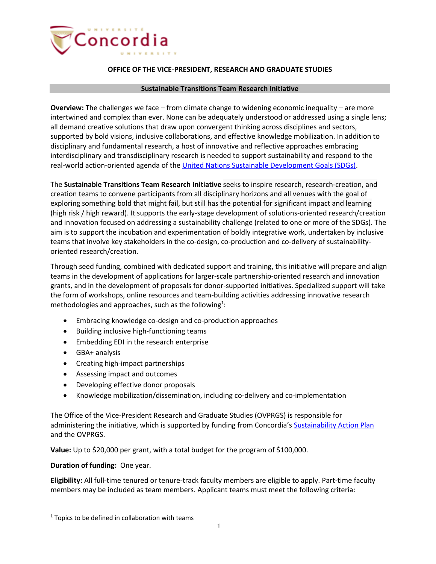

## **OFFICE OF THE VICE-PRESIDENT, RESEARCH AND GRADUATE STUDIES**

## **Sustainable Transitions Team Research Initiative**

**Overview:** The challenges we face – from climate change to widening economic inequality – are more intertwined and complex than ever. None can be adequately understood or addressed using a single lens; all demand creative solutions that draw upon convergent thinking across disciplines and sectors, supported by bold visions, inclusive collaborations, and effective knowledge mobilization. In addition to disciplinary and fundamental research, a host of innovative and reflective approaches embracing interdisciplinary and transdisciplinary research is needed to support sustainability and respond to the real-world action-oriented agenda of the [United Nations Sustainable Development Goals \(SDGs\).](https://www.concordia.ca/about/sustainability/sustainability-initiatives/sdg.html)

The **Sustainable Transitions Team Research Initiative** seeks to inspire research, research-creation, and creation teams to convene participants from all disciplinary horizons and all venues with the goal of exploring something bold that might fail, but still has the potential for significant impact and learning (high risk / high reward). It supports the early-stage development of solutions-oriented research/creation and innovation focused on addressing a sustainability challenge (related to one or more of the SDGs). The aim is to support the incubation and experimentation of boldly integrative work, undertaken by inclusive teams that involve key stakeholders in the co-design, co-production and co-delivery of sustainabilityoriented research/creation.

Through seed funding, combined with dedicated support and training, this initiative will prepare and align teams in the development of applications for larger-scale partnership-oriented research and innovation grants, and in the development of proposals for donor-supported initiatives. Specialized support will take the form of workshops, online resources and team-building activities addressing innovative research methodologies and approaches, such as the following<sup>1</sup>:

- Embracing knowledge co-design and co-production approaches
- Building inclusive high-functioning teams
- Embedding EDI in the research enterprise
- GBA+ analysis
- Creating high-impact partnerships
- Assessing impact and outcomes
- Developing effective donor proposals
- Knowledge mobilization/dissemination, including co-delivery and co-implementation

The Office of the Vice-President Research and Graduate Studies (OVPRGS) is responsible for administering the initiative, which is supported by funding from Concordia's [Sustainability Action Plan](https://www.concordia.ca/about/sustainability/action-plan.html) and the OVPRGS.

**Value:** Up to \$20,000 per grant, with a total budget for the program of \$100,000.

## **Duration of funding:** One year.

 $\overline{a}$ 

**Eligibility:** All full-time tenured or tenure-track faculty members are eligible to apply. Part-time faculty members may be included as team members. Applicant teams must meet the following criteria:

 $1$  Topics to be defined in collaboration with teams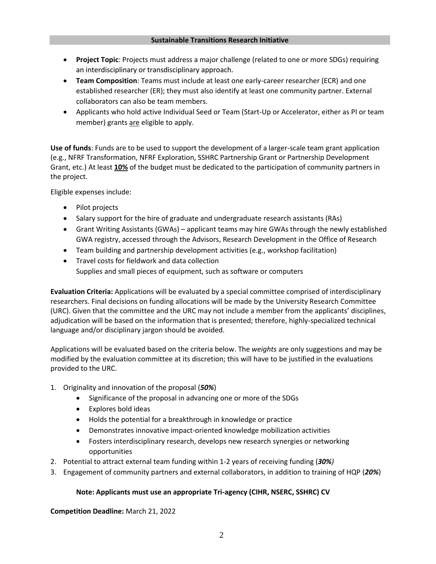- **Project Topic**: Projects must address a major challenge (related to one or more SDGs) requiring an interdisciplinary or transdisciplinary approach.
- **Team Composition**: Teams must include at least one early-career researcher (ECR) and one established researcher (ER); they must also identify at least one community partner. External collaborators can also be team members.
- Applicants who hold active Individual Seed or Team (Start-Up or Accelerator, either as PI or team member) grants are eligible to apply.

**Use of funds**: Funds are to be used to support the development of a larger-scale team grant application (e.g., NFRF Transformation, NFRF Exploration, SSHRC Partnership Grant or Partnership Development Grant, etc.) At least **10%** of the budget must be dedicated to the participation of community partners in the project.

Eligible expenses include:

- Pilot projects
- Salary support for the hire of graduate and undergraduate research assistants (RAs)
- Grant Writing Assistants (GWAs) applicant teams may hire GWAs through the newly established GWA registry, accessed through the Advisors, Research Development in the Office of Research
- Team building and partnership development activities (e.g., workshop facilitation)
- Travel costs for fieldwork and data collection Supplies and small pieces of equipment, such as software or computers

**Evaluation Criteria:** Applications will be evaluated by a special committee comprised of interdisciplinary researchers. Final decisions on funding allocations will be made by the University Research Committee (URC). Given that the committee and the URC may not include a member from the applicants' disciplines, adjudication will be based on the information that is presented; therefore, highly-specialized technical language and/or disciplinary jargon should be avoided.

Applications will be evaluated based on the criteria below. The *weights* are only suggestions and may be modified by the evaluation committee at its discretion; this will have to be justified in the evaluations provided to the URC.

- 1. Originality and innovation of the proposal (*50%*)
	- Significance of the proposal in advancing one or more of the SDGs
	- Explores bold ideas
	- Holds the potential for a breakthrough in knowledge or practice
	- Demonstrates innovative impact-oriented knowledge mobilization activities
	- Fosters interdisciplinary research, develops new research synergies or networking opportunities
- 2. Potential to attract external team funding within 1-2 years of receiving funding (*30%)*
- 3. Engagement of community partners and external collaborators, in addition to training of HQP (*20%*)

## **Note: Applicants must use an appropriate Tri-agency (CIHR, NSERC, SSHRC) CV**

**Competition Deadline:** March 21, 2022